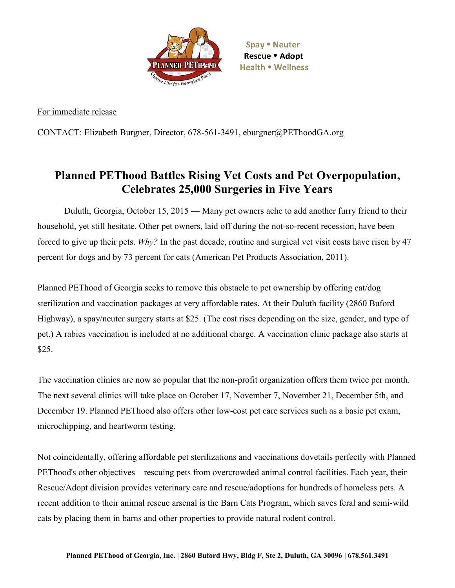

Spay . Neuter Rescue • Adopt Health . Wellness

For immediate release

CONTACT: Elizabeth Burgner, Director, 678-561-3491, eburgner@PEThoodGA.org

## **Planned PEThood Battles Rising Vet Costs and Pet Overpopulation, Celebrates 25,000 Surgeries in Five Years**

Duluth, Georgia, October 15, 2015 — Many pet owners ache to add another furry friend to their household, yet still hesitate. Other pet owners, laid off during the not-so-recent recession, have been forced to give up their pets. *Why?* In the past decade, routine and surgical vet visit costs have risen by 47 percent for dogs and by 73 percent for cats (American Pet Products Association, 2011).

Planned PEThood of Georgia seeks to remove this obstacle to pet ownership by offering cat/dog sterilization and vaccination packages at very affordable rates. At their Duluth facility (2860 Buford Highway), a spay/neuter surgery starts at \$25. (The cost rises depending on the size, gender, and type of pet.) A rabies vaccination is included at no additional charge. A vaccination clinic package also starts at \$25.

The vaccination clinics are now so popular that the non-profit organization offers them twice per month. The next several clinics will take place on October 17, November 7, November 21, December 5th, and December 19. Planned PEThood also offers other low-cost pet care services such as a basic pet exam, microchipping, and heartworm testing.

Not coincidentally, offering affordable pet sterilizations and vaccinations dovetails perfectly with Planned PEThood's other objectives – rescuing pets from overcrowded animal control facilities. Each year, their Rescue/Adopt division provides veterinary care and rescue/adoptions for hundreds of homeless pets. A recent addition to their animal rescue arsenal is the Barn Cats Program, which saves feral and semi-wild cats by placing them in barns and other properties to provide natural rodent control.